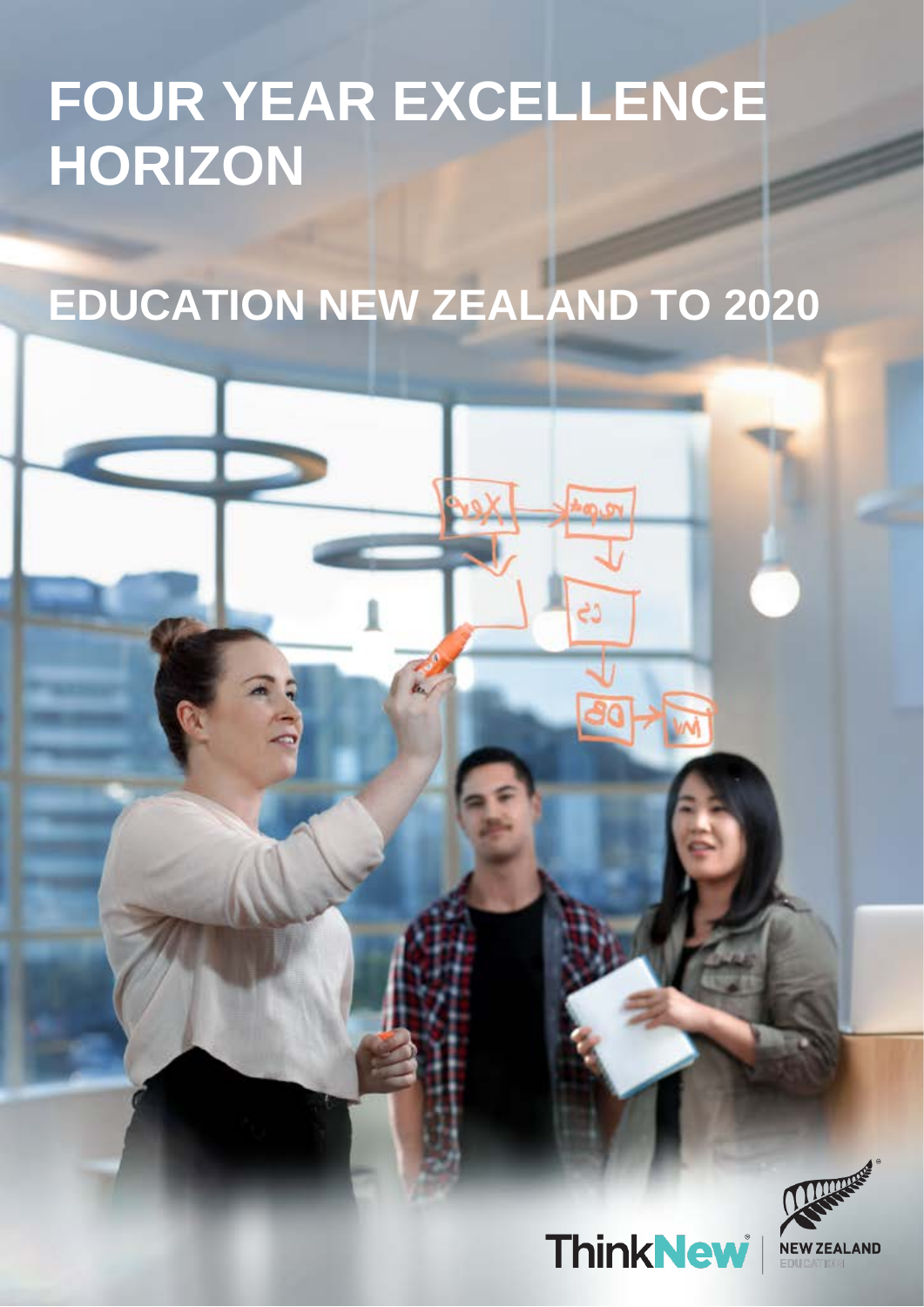## **FOUR YEAR EXCELLENCE HORIZON**

# **EDUCATION NEW ZEALAND TO 2020**



**ThinkNew**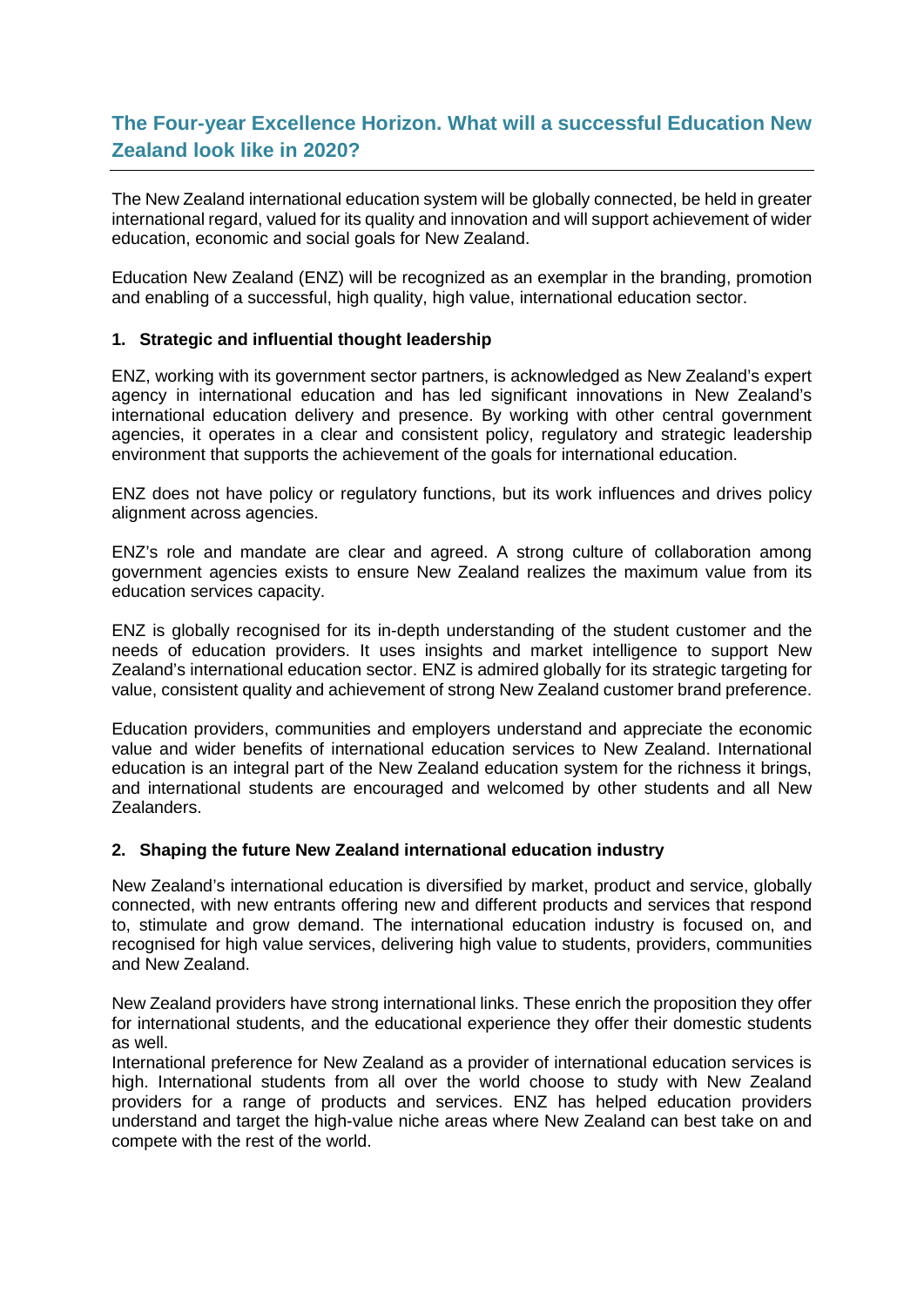### **The Four-year Excellence Horizon. What will a successful Education New Zealand look like in 2020?**

The New Zealand international education system will be globally connected, be held in greater international regard, valued for its quality and innovation and will support achievement of wider education, economic and social goals for New Zealand.

Education New Zealand (ENZ) will be recognized as an exemplar in the branding, promotion and enabling of a successful, high quality, high value, international education sector.

#### **1. Strategic and influential thought leadership**

ENZ, working with its government sector partners, is acknowledged as New Zealand's expert agency in international education and has led significant innovations in New Zealand's international education delivery and presence. By working with other central government agencies, it operates in a clear and consistent policy, regulatory and strategic leadership environment that supports the achievement of the goals for international education.

ENZ does not have policy or regulatory functions, but its work influences and drives policy alignment across agencies.

ENZ's role and mandate are clear and agreed. A strong culture of collaboration among government agencies exists to ensure New Zealand realizes the maximum value from its education services capacity.

ENZ is globally recognised for its in-depth understanding of the student customer and the needs of education providers. It uses insights and market intelligence to support New Zealand's international education sector. ENZ is admired globally for its strategic targeting for value, consistent quality and achievement of strong New Zealand customer brand preference.

Education providers, communities and employers understand and appreciate the economic value and wider benefits of international education services to New Zealand. International education is an integral part of the New Zealand education system for the richness it brings, and international students are encouraged and welcomed by other students and all New Zealanders.

#### **2. Shaping the future New Zealand international education industry**

New Zealand's international education is diversified by market, product and service, globally connected, with new entrants offering new and different products and services that respond to, stimulate and grow demand. The international education industry is focused on, and recognised for high value services, delivering high value to students, providers, communities and New Zealand.

New Zealand providers have strong international links. These enrich the proposition they offer for international students, and the educational experience they offer their domestic students as well.

International preference for New Zealand as a provider of international education services is high. International students from all over the world choose to study with New Zealand providers for a range of products and services. ENZ has helped education providers understand and target the high-value niche areas where New Zealand can best take on and compete with the rest of the world.